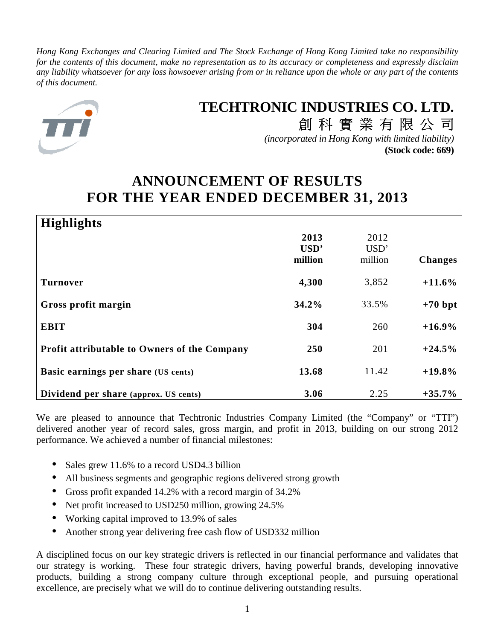*Hong Kong Exchanges and Clearing Limited and The Stock Exchange of Hong Kong Limited take no responsibility for the contents of this document, make no representation as to its accuracy or completeness and expressly disclaim any liability whatsoever for any loss howsoever arising from or in reliance upon the whole or any part of the contents of this document.*



# **TECHTRONIC INDUSTRIES CO. LTD.**

創科實業有限公司 *(incorporated in Hong Kong with limited liability)* **(Stock code: 669)**

# **ANNOUNCEMENT OF RESULTS FOR THE YEAR ENDED DECEMBER 31, 2013**

| <b>Highlights</b>                            |                 |                 |                |
|----------------------------------------------|-----------------|-----------------|----------------|
|                                              | 2013            | 2012            |                |
|                                              | USD'<br>million | USD'<br>million | <b>Changes</b> |
|                                              |                 |                 |                |
| <b>Turnover</b>                              | 4,300           | 3,852           | $+11.6%$       |
| Gross profit margin                          | 34.2%           | 33.5%           | $+70$ bpt      |
| <b>EBIT</b>                                  | 304             | 260             | $+16.9\%$      |
| Profit attributable to Owners of the Company | 250             | 201             | $+24.5%$       |
| Basic earnings per share (US cents)          | 13.68           | 11.42           | $+19.8\%$      |
| Dividend per share (approx. US cents)        | 3.06            | 2.25            | $+35.7\%$      |

We are pleased to announce that Techtronic Industries Company Limited (the "Company" or "TTI") delivered another year of record sales, gross margin, and profit in 2013, building on our strong 2012 performance. We achieved a number of financial milestones:

- Sales grew 11.6% to a record USD4.3 billion
- All business segments and geographic regions delivered strong growth
- Gross profit expanded 14.2% with a record margin of 34.2%
- Net profit increased to USD250 million, growing 24.5%
- Working capital improved to 13.9% of sales
- Another strong year delivering free cash flow of USD332 million

A disciplined focus on our key strategic drivers is reflected in our financial performance and validates that our strategy is working. These four strategic drivers, having powerful brands, developing innovative products, building a strong company culture through exceptional people, and pursuing operational excellence, are precisely what we will do to continue delivering outstanding results.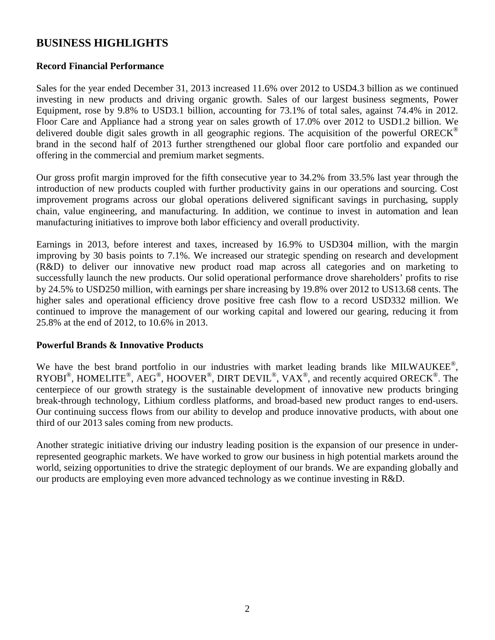## **BUSINESS HIGHLIGHTS**

### **Record Financial Performance**

Sales for the year ended December 31, 2013 increased 11.6% over 2012 to USD4.3 billion as we continued investing in new products and driving organic growth. Sales of our largest business segments, Power Equipment, rose by 9.8% to USD3.1 billion, accounting for 73.1% of total sales, against 74.4% in 2012. Floor Care and Appliance had a strong year on sales growth of 17.0% over 2012 to USD1.2 billion. We delivered double digit sales growth in all geographic regions. The acquisition of the powerful ORECK<sup>®</sup> brand in the second half of 2013 further strengthened our global floor care portfolio and expanded our offering in the commercial and premium market segments.

Our gross profit margin improved for the fifth consecutive year to 34.2% from 33.5% last year through the introduction of new products coupled with further productivity gains in our operations and sourcing. Cost improvement programs across our global operations delivered significant savings in purchasing, supply chain, value engineering, and manufacturing. In addition, we continue to invest in automation and lean manufacturing initiatives to improve both labor efficiency and overall productivity.

Earnings in 2013, before interest and taxes, increased by 16.9% to USD304 million, with the margin improving by 30 basis points to 7.1%. We increased our strategic spending on research and development (R&D) to deliver our innovative new product road map across all categories and on marketing to successfully launch the new products. Our solid operational performance drove shareholders' profits to rise by 24.5% to USD250 million, with earnings per share increasing by 19.8% over 2012 to US13.68 cents. The higher sales and operational efficiency drove positive free cash flow to a record USD332 million. We continued to improve the management of our working capital and lowered our gearing, reducing it from 25.8% at the end of 2012, to 10.6% in 2013.

### **Powerful Brands & Innovative Products**

We have the best brand portfolio in our industries with market leading brands like MILWAUKEE®, RYOBI<sup>®</sup>, HOMELITE®, AEG®, HOOVER®, DIRT DEVIL<sup>®</sup>, VAX<sup>®</sup>, and recently acquired ORECK<sup>®</sup>. The centerpiece of our growth strategy is the sustainable development of innovative new products bringing break-through technology, Lithium cordless platforms, and broad-based new product ranges to end-users. Our continuing success flows from our ability to develop and produce innovative products, with about one third of our 2013 sales coming from new products.

Another strategic initiative driving our industry leading position is the expansion of our presence in underrepresented geographic markets. We have worked to grow our business in high potential markets around the world, seizing opportunities to drive the strategic deployment of our brands. We are expanding globally and our products are employing even more advanced technology as we continue investing in R&D.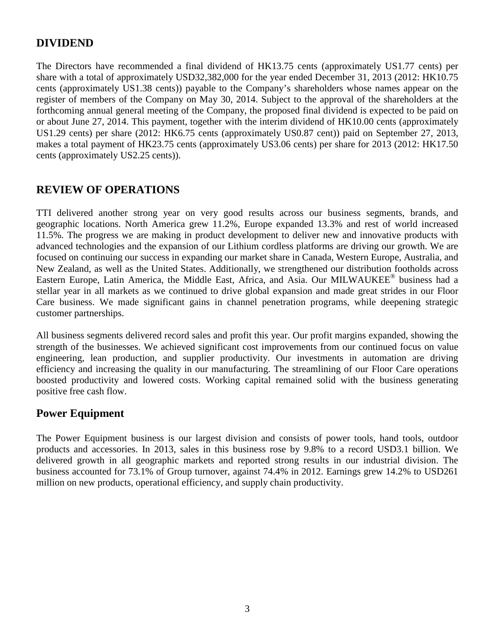## **DIVIDEND**

The Directors have recommended a final dividend of HK13.75 cents (approximately US1.77 cents) per share with a total of approximately USD32,382,000 for the year ended December 31, 2013 (2012: HK10.75 cents (approximately US1.38 cents)) payable to the Company's shareholders whose names appear on the register of members of the Company on May 30, 2014. Subject to the approval of the shareholders at the forthcoming annual general meeting of the Company, the proposed final dividend is expected to be paid on or about June 27, 2014. This payment, together with the interim dividend of HK10.00 cents (approximately US1.29 cents) per share (2012: HK6.75 cents (approximately US0.87 cent)) paid on September 27, 2013, makes a total payment of HK23.75 cents (approximately US3.06 cents) per share for 2013 (2012: HK17.50 cents (approximately US2.25 cents)).

## **REVIEW OF OPERATIONS**

TTI delivered another strong year on very good results across our business segments, brands, and geographic locations. North America grew 11.2%, Europe expanded 13.3% and rest of world increased 11.5%. The progress we are making in product development to deliver new and innovative products with advanced technologies and the expansion of our Lithium cordless platforms are driving our growth. We are focused on continuing our success in expanding our market share in Canada, Western Europe, Australia, and New Zealand, as well as the United States. Additionally, we strengthened our distribution footholds across Eastern Europe, Latin America, the Middle East, Africa, and Asia. Our MILWAUKEE® business had a stellar year in all markets as we continued to drive global expansion and made great strides in our Floor Care business. We made significant gains in channel penetration programs, while deepening strategic customer partnerships.

All business segments delivered record sales and profit this year. Our profit margins expanded, showing the strength of the businesses. We achieved significant cost improvements from our continued focus on value engineering, lean production, and supplier productivity. Our investments in automation are driving efficiency and increasing the quality in our manufacturing. The streamlining of our Floor Care operations boosted productivity and lowered costs. Working capital remained solid with the business generating positive free cash flow.

## **Power Equipment**

The Power Equipment business is our largest division and consists of power tools, hand tools, outdoor products and accessories. In 2013, sales in this business rose by 9.8% to a record USD3.1 billion. We delivered growth in all geographic markets and reported strong results in our industrial division. The business accounted for 73.1% of Group turnover, against 74.4% in 2012. Earnings grew 14.2% to USD261 million on new products, operational efficiency, and supply chain productivity.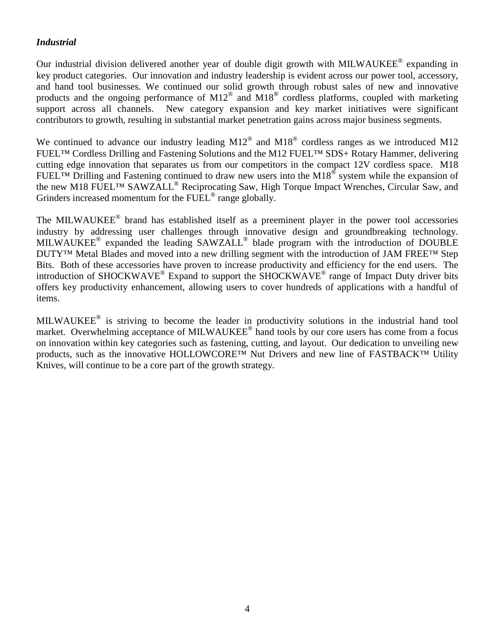### *Industrial*

Our industrial division delivered another year of double digit growth with MILWAUKEE® expanding in key product categories. Our innovation and industry leadership is evident across our power tool, accessory, and hand tool businesses. We continued our solid growth through robust sales of new and innovative products and the ongoing performance of M12<sup>®</sup> and M18<sup>®</sup> cordless platforms, coupled with marketing support across all channels. New category expansion and key market initiatives were significant contributors to growth, resulting in substantial market penetration gains across major business segments.

We continued to advance our industry leading  $M12^{\circledast}$  and  $M18^{\circledast}$  cordless ranges as we introduced M12 FUEL™ Cordless Drilling and Fastening Solutions and the M12 FUEL™ SDS+ Rotary Hammer, delivering cutting edge innovation that separates us from our competitors in the compact 12V cordless space. M18 FUEL<sup>TM</sup> Drilling and Fastening continued to draw new users into the M18<sup>®</sup> system while the expansion of the new M18 FUEL™ SAWZALL® Reciprocating Saw, High Torque Impact Wrenches, Circular Saw, and Grinders increased momentum for the FUEL<sup>®</sup> range globally.

The MILWAUKEE<sup>®</sup> brand has established itself as a preeminent player in the power tool accessories industry by addressing user challenges through innovative design and groundbreaking technology. MILWAUKEE<sup>®</sup> expanded the leading SAWZALL<sup>®</sup> blade program with the introduction of DOUBLE DUTY™ Metal Blades and moved into a new drilling segment with the introduction of JAM FREE™ Step Bits. Both of these accessories have proven to increase productivity and efficiency for the end users. The introduction of SHOCKWAVE<sup>®</sup> Expand to support the SHOCKWAVE<sup>®</sup> range of Impact Duty driver bits offers key productivity enhancement, allowing users to cover hundreds of applications with a handful of items.

MILWAUKEE<sup>®</sup> is striving to become the leader in productivity solutions in the industrial hand tool market. Overwhelming acceptance of MILWAUKEE® hand tools by our core users has come from a focus on innovation within key categories such as fastening, cutting, and layout. Our dedication to unveiling new products, such as the innovative HOLLOWCORE™ Nut Drivers and new line of FASTBACK™ Utility Knives, will continue to be a core part of the growth strategy.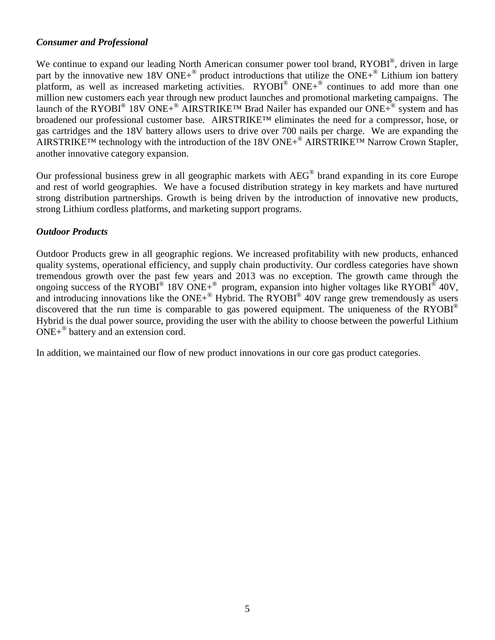### *Consumer and Professional*

We continue to expand our leading North American consumer power tool brand, RYOBI®, driven in large part by the innovative new 18V ONE+<sup>®</sup> product introductions that utilize the ONE+<sup>®</sup> Lithium ion battery platform, as well as increased marketing activities. RYOBI<sup>®</sup> ONE+<sup>®</sup> continues to add more than one million new customers each year through new product launches and promotional marketing campaigns. The launch of the RYOBI<sup>®</sup> 18V ONE+<sup>®</sup> AIRSTRIKE<sup>TM</sup> Brad Nailer has expanded our ONE+<sup>®</sup> system and has broadened our professional customer base. AIRSTRIKE™ eliminates the need for a compressor, hose, or gas cartridges and the 18V battery allows users to drive over 700 nails per charge. We are expanding the AIRSTRIKE™ technology with the introduction of the 18V ONE+® AIRSTRIKE™ Narrow Crown Stapler, another innovative category expansion.

Our professional business grew in all geographic markets with AEG® brand expanding in its core Europe and rest of world geographies. We have a focused distribution strategy in key markets and have nurtured strong distribution partnerships. Growth is being driven by the introduction of innovative new products, strong Lithium cordless platforms, and marketing support programs.

### *Outdoor Products*

Outdoor Products grew in all geographic regions. We increased profitability with new products, enhanced quality systems, operational efficiency, and supply chain productivity. Our cordless categories have shown tremendous growth over the past few years and 2013 was no exception. The growth came through the ongoing success of the RYOBI<sup>®</sup> 18V ONE+<sup>®</sup> program, expansion into higher voltages like RYOBI<sup>®</sup> 40V, and introducing innovations like the  $ONE+^{\circledR}$  Hybrid. The RYOBI $^{\circledR}$  40V range grew tremendously as users discovered that the run time is comparable to gas powered equipment. The uniqueness of the RYOBI<sup>®</sup> Hybrid is the dual power source, providing the user with the ability to choose between the powerful Lithium ONE+® battery and an extension cord.

In addition, we maintained our flow of new product innovations in our core gas product categories.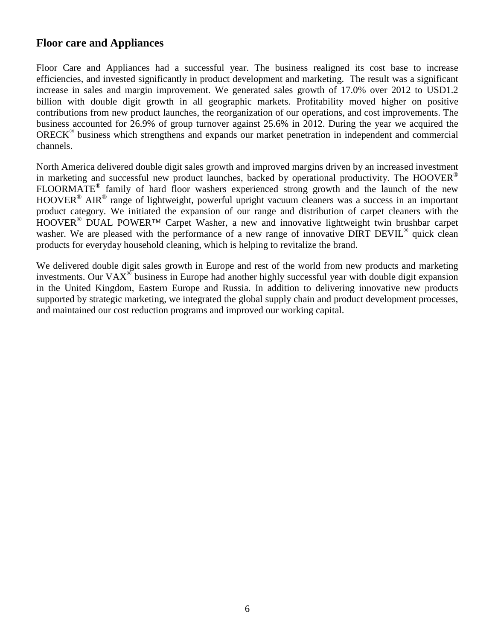## **Floor care and Appliances**

Floor Care and Appliances had a successful year. The business realigned its cost base to increase efficiencies, and invested significantly in product development and marketing. The result was a significant increase in sales and margin improvement. We generated sales growth of 17.0% over 2012 to USD1.2 billion with double digit growth in all geographic markets. Profitability moved higher on positive contributions from new product launches, the reorganization of our operations, and cost improvements. The business accounted for 26.9% of group turnover against 25.6% in 2012. During the year we acquired the ORECK<sup>®</sup> business which strengthens and expands our market penetration in independent and commercial channels.

North America delivered double digit sales growth and improved margins driven by an increased investment in marketing and successful new product launches, backed by operational productivity. The HOOVER<sup>®</sup> FLOORMATE® family of hard floor washers experienced strong growth and the launch of the new HOOVER<sup>®</sup> AIR<sup>®</sup> range of lightweight, powerful upright vacuum cleaners was a success in an important product category. We initiated the expansion of our range and distribution of carpet cleaners with the HOOVER<sup>®</sup> DUAL POWER<sup>TM</sup> Carpet Washer, a new and innovative lightweight twin brushbar carpet washer. We are pleased with the performance of a new range of innovative DIRT DEVIL<sup>®</sup> quick clean products for everyday household cleaning, which is helping to revitalize the brand.

We delivered double digit sales growth in Europe and rest of the world from new products and marketing investments. Our VAX<sup>®</sup> business in Europe had another highly successful year with double digit expansion in the United Kingdom, Eastern Europe and Russia. In addition to delivering innovative new products supported by strategic marketing, we integrated the global supply chain and product development processes, and maintained our cost reduction programs and improved our working capital.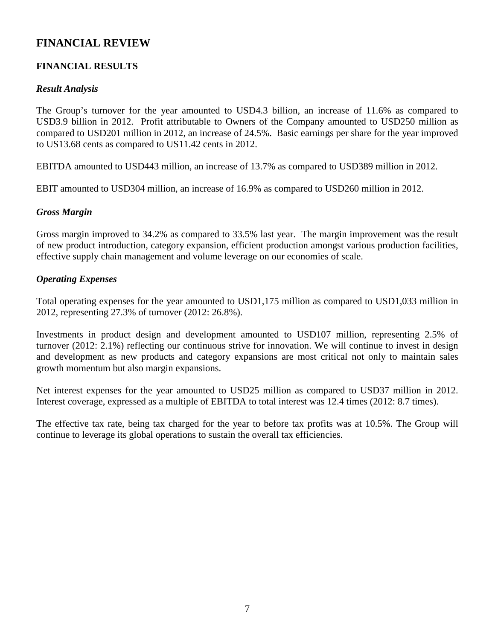# **FINANCIAL REVIEW**

## **FINANCIAL RESULTS**

### *Result Analysis*

The Group's turnover for the year amounted to USD4.3 billion, an increase of 11.6% as compared to USD3.9 billion in 2012. Profit attributable to Owners of the Company amounted to USD250 million as compared to USD201 million in 2012, an increase of 24.5%. Basic earnings per share for the year improved to US13.68 cents as compared to US11.42 cents in 2012.

EBITDA amounted to USD443 million, an increase of 13.7% as compared to USD389 million in 2012.

EBIT amounted to USD304 million, an increase of 16.9% as compared to USD260 million in 2012.

### *Gross Margin*

Gross margin improved to 34.2% as compared to 33.5% last year. The margin improvement was the result of new product introduction, category expansion, efficient production amongst various production facilities, effective supply chain management and volume leverage on our economies of scale.

### *Operating Expenses*

Total operating expenses for the year amounted to USD1,175 million as compared to USD1,033 million in 2012, representing 27.3% of turnover (2012: 26.8%).

Investments in product design and development amounted to USD107 million, representing 2.5% of turnover (2012: 2.1%) reflecting our continuous strive for innovation. We will continue to invest in design and development as new products and category expansions are most critical not only to maintain sales growth momentum but also margin expansions.

Net interest expenses for the year amounted to USD25 million as compared to USD37 million in 2012. Interest coverage, expressed as a multiple of EBITDA to total interest was 12.4 times (2012: 8.7 times).

The effective tax rate, being tax charged for the year to before tax profits was at 10.5%. The Group will continue to leverage its global operations to sustain the overall tax efficiencies.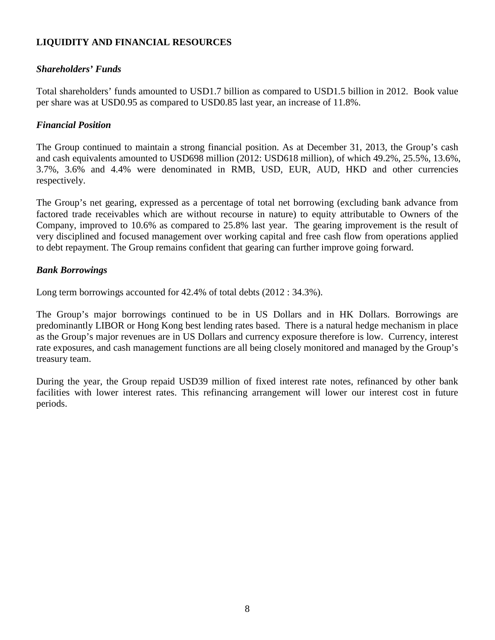## **LIQUIDITY AND FINANCIAL RESOURCES**

### *Shareholders' Funds*

Total shareholders' funds amounted to USD1.7 billion as compared to USD1.5 billion in 2012. Book value per share was at USD0.95 as compared to USD0.85 last year, an increase of 11.8%.

### *Financial Position*

The Group continued to maintain a strong financial position. As at December 31, 2013, the Group's cash and cash equivalents amounted to USD698 million (2012: USD618 million), of which 49.2%, 25.5%, 13.6%, 3.7%, 3.6% and 4.4% were denominated in RMB, USD, EUR, AUD, HKD and other currencies respectively.

The Group's net gearing, expressed as a percentage of total net borrowing (excluding bank advance from factored trade receivables which are without recourse in nature) to equity attributable to Owners of the Company, improved to 10.6% as compared to 25.8% last year. The gearing improvement is the result of very disciplined and focused management over working capital and free cash flow from operations applied to debt repayment. The Group remains confident that gearing can further improve going forward.

### *Bank Borrowings*

Long term borrowings accounted for 42.4% of total debts (2012 : 34.3%).

The Group's major borrowings continued to be in US Dollars and in HK Dollars. Borrowings are predominantly LIBOR or Hong Kong best lending rates based. There is a natural hedge mechanism in place as the Group's major revenues are in US Dollars and currency exposure therefore is low. Currency, interest rate exposures, and cash management functions are all being closely monitored and managed by the Group's treasury team.

During the year, the Group repaid USD39 million of fixed interest rate notes, refinanced by other bank facilities with lower interest rates. This refinancing arrangement will lower our interest cost in future periods.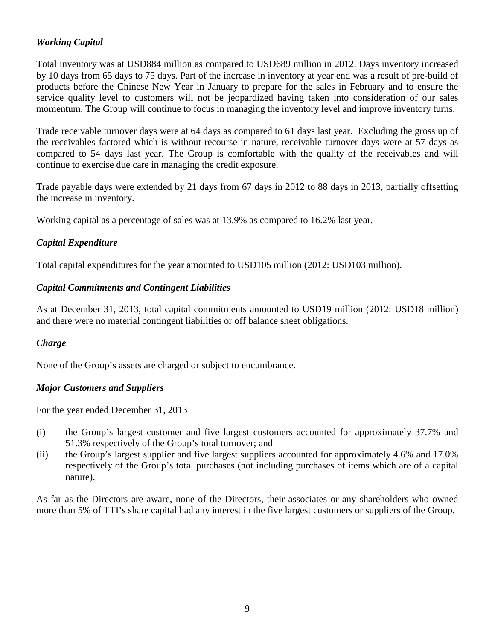## *Working Capital*

Total inventory was at USD884 million as compared to USD689 million in 2012. Days inventory increased by 10 days from 65 days to 75 days. Part of the increase in inventory at year end was a result of pre-build of products before the Chinese New Year in January to prepare for the sales in February and to ensure the service quality level to customers will not be jeopardized having taken into consideration of our sales momentum. The Group will continue to focus in managing the inventory level and improve inventory turns.

Trade receivable turnover days were at 64 days as compared to 61 days last year. Excluding the gross up of the receivables factored which is without recourse in nature, receivable turnover days were at 57 days as compared to 54 days last year. The Group is comfortable with the quality of the receivables and will continue to exercise due care in managing the credit exposure.

Trade payable days were extended by 21 days from 67 days in 2012 to 88 days in 2013, partially offsetting the increase in inventory.

Working capital as a percentage of sales was at 13.9% as compared to 16.2% last year.

## *Capital Expenditure*

Total capital expenditures for the year amounted to USD105 million (2012: USD103 million).

### *Capital Commitments and Contingent Liabilities*

As at December 31, 2013, total capital commitments amounted to USD19 million (2012: USD18 million) and there were no material contingent liabilities or off balance sheet obligations.

## *Charge*

None of the Group's assets are charged or subject to encumbrance.

### *Major Customers and Suppliers*

For the year ended December 31, 2013

- (i) the Group's largest customer and five largest customers accounted for approximately 37.7% and 51.3% respectively of the Group's total turnover; and
- (ii) the Group's largest supplier and five largest suppliers accounted for approximately 4.6% and 17.0% respectively of the Group's total purchases (not including purchases of items which are of a capital nature).

As far as the Directors are aware, none of the Directors, their associates or any shareholders who owned more than 5% of TTI's share capital had any interest in the five largest customers or suppliers of the Group.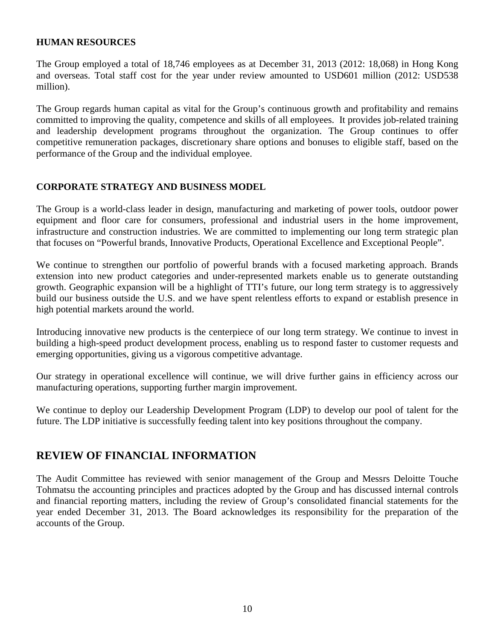### **HUMAN RESOURCES**

The Group employed a total of 18,746 employees as at December 31, 2013 (2012: 18,068) in Hong Kong and overseas. Total staff cost for the year under review amounted to USD601 million (2012: USD538 million).

The Group regards human capital as vital for the Group's continuous growth and profitability and remains committed to improving the quality, competence and skills of all employees. It provides job-related training and leadership development programs throughout the organization. The Group continues to offer competitive remuneration packages, discretionary share options and bonuses to eligible staff, based on the performance of the Group and the individual employee.

### **CORPORATE STRATEGY AND BUSINESS MODEL**

The Group is a world-class leader in design, manufacturing and marketing of power tools, outdoor power equipment and floor care for consumers, professional and industrial users in the home improvement, infrastructure and construction industries. We are committed to implementing our long term strategic plan that focuses on "Powerful brands, Innovative Products, Operational Excellence and Exceptional People".

We continue to strengthen our portfolio of powerful brands with a focused marketing approach. Brands extension into new product categories and under-represented markets enable us to generate outstanding growth. Geographic expansion will be a highlight of TTI's future, our long term strategy is to aggressively build our business outside the U.S. and we have spent relentless efforts to expand or establish presence in high potential markets around the world.

Introducing innovative new products is the centerpiece of our long term strategy. We continue to invest in building a high-speed product development process, enabling us to respond faster to customer requests and emerging opportunities, giving us a vigorous competitive advantage.

Our strategy in operational excellence will continue, we will drive further gains in efficiency across our manufacturing operations, supporting further margin improvement.

We continue to deploy our Leadership Development Program (LDP) to develop our pool of talent for the future. The LDP initiative is successfully feeding talent into key positions throughout the company.

## **REVIEW OF FINANCIAL INFORMATION**

The Audit Committee has reviewed with senior management of the Group and Messrs Deloitte Touche Tohmatsu the accounting principles and practices adopted by the Group and has discussed internal controls and financial reporting matters, including the review of Group's consolidated financial statements for the year ended December 31, 2013. The Board acknowledges its responsibility for the preparation of the accounts of the Group.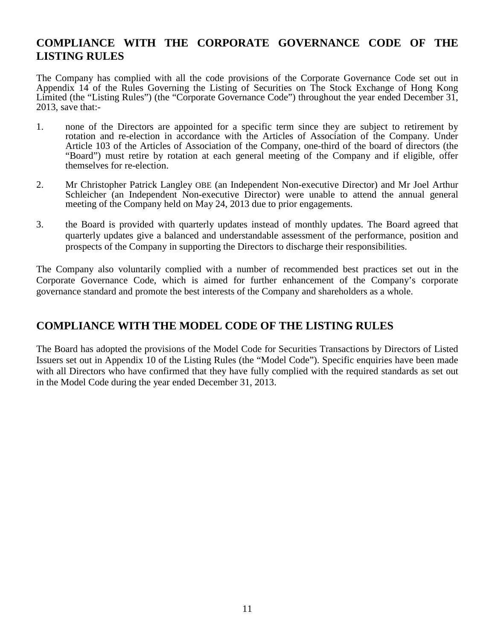# **COMPLIANCE WITH THE CORPORATE GOVERNANCE CODE OF THE LISTING RULES**

The Company has complied with all the code provisions of the Corporate Governance Code set out in Appendix 14 of the Rules Governing the Listing of Securities on The Stock Exchange of Hong Kong Limited (the "Listing Rules") (the "Corporate Governance Code") throughout the year ended December 31, 2013, save that:-

- 1. none of the Directors are appointed for a specific term since they are subject to retirement by rotation and re-election in accordance with the Articles of Association of the Company. Under Article 103 of the Articles of Association of the Company, one-third of the board of directors (the "Board") must retire by rotation at each general meeting of the Company and if eligible, offer themselves for re-election.
- 2. Mr Christopher Patrick Langley OBE (an Independent Non-executive Director) and Mr Joel Arthur Schleicher (an Independent Non-executive Director) were unable to attend the annual general meeting of the Company held on May 24, 2013 due to prior engagements.
- 3. the Board is provided with quarterly updates instead of monthly updates. The Board agreed that quarterly updates give a balanced and understandable assessment of the performance, position and prospects of the Company in supporting the Directors to discharge their responsibilities.

The Company also voluntarily complied with a number of recommended best practices set out in the Corporate Governance Code, which is aimed for further enhancement of the Company's corporate governance standard and promote the best interests of the Company and shareholders as a whole.

# **COMPLIANCE WITH THE MODEL CODE OF THE LISTING RULES**

The Board has adopted the provisions of the Model Code for Securities Transactions by Directors of Listed Issuers set out in Appendix 10 of the Listing Rules (the "Model Code"). Specific enquiries have been made with all Directors who have confirmed that they have fully complied with the required standards as set out in the Model Code during the year ended December 31, 2013.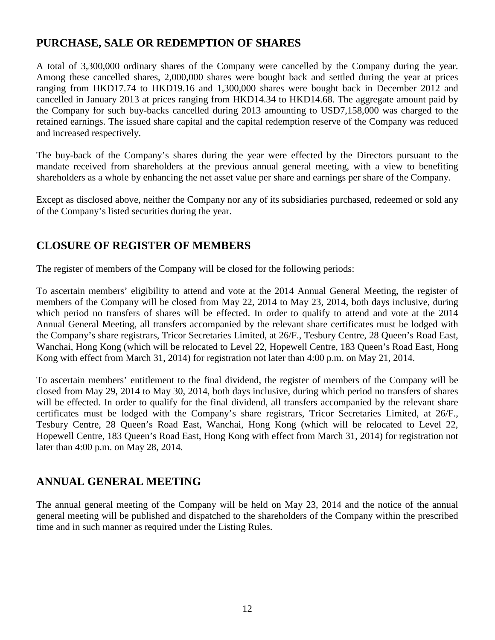# **PURCHASE, SALE OR REDEMPTION OF SHARES**

A total of 3,300,000 ordinary shares of the Company were cancelled by the Company during the year. Among these cancelled shares, 2,000,000 shares were bought back and settled during the year at prices ranging from HKD17.74 to HKD19.16 and 1,300,000 shares were bought back in December 2012 and cancelled in January 2013 at prices ranging from HKD14.34 to HKD14.68. The aggregate amount paid by the Company for such buy-backs cancelled during 2013 amounting to USD7,158,000 was charged to the retained earnings. The issued share capital and the capital redemption reserve of the Company was reduced and increased respectively.

The buy-back of the Company's shares during the year were effected by the Directors pursuant to the mandate received from shareholders at the previous annual general meeting, with a view to benefiting shareholders as a whole by enhancing the net asset value per share and earnings per share of the Company.

Except as disclosed above, neither the Company nor any of its subsidiaries purchased, redeemed or sold any of the Company's listed securities during the year.

# **CLOSURE OF REGISTER OF MEMBERS**

The register of members of the Company will be closed for the following periods:

To ascertain members' eligibility to attend and vote at the 2014 Annual General Meeting, the register of members of the Company will be closed from May 22, 2014 to May 23, 2014, both days inclusive, during which period no transfers of shares will be effected. In order to qualify to attend and vote at the 2014 Annual General Meeting, all transfers accompanied by the relevant share certificates must be lodged with the Company's share registrars, Tricor Secretaries Limited, at 26/F., Tesbury Centre, 28 Queen's Road East, Wanchai, Hong Kong (which will be relocated to Level 22, Hopewell Centre, 183 Queen's Road East, Hong Kong with effect from March 31, 2014) for registration not later than 4:00 p.m. on May 21, 2014.

To ascertain members' entitlement to the final dividend, the register of members of the Company will be closed from May 29, 2014 to May 30, 2014, both days inclusive, during which period no transfers of shares will be effected. In order to qualify for the final dividend, all transfers accompanied by the relevant share certificates must be lodged with the Company's share registrars, Tricor Secretaries Limited, at 26/F., Tesbury Centre, 28 Queen's Road East, Wanchai, Hong Kong (which will be relocated to Level 22, Hopewell Centre, 183 Queen's Road East, Hong Kong with effect from March 31, 2014) for registration not later than 4:00 p.m. on May 28, 2014.

## **ANNUAL GENERAL MEETING**

The annual general meeting of the Company will be held on May 23, 2014 and the notice of the annual general meeting will be published and dispatched to the shareholders of the Company within the prescribed time and in such manner as required under the Listing Rules.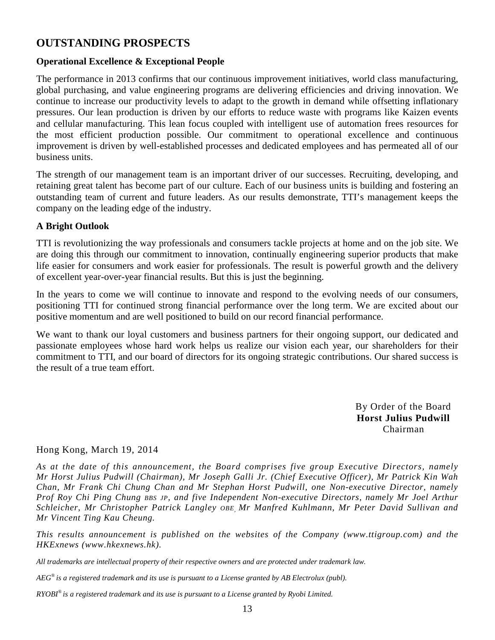# **OUTSTANDING PROSPECTS**

### **Operational Excellence & Exceptional People**

The performance in 2013 confirms that our continuous improvement initiatives, world class manufacturing, global purchasing, and value engineering programs are delivering efficiencies and driving innovation. We continue to increase our productivity levels to adapt to the growth in demand while offsetting inflationary pressures. Our lean production is driven by our efforts to reduce waste with programs like Kaizen events and cellular manufacturing. This lean focus coupled with intelligent use of automation frees resources for the most efficient production possible. Our commitment to operational excellence and continuous improvement is driven by well-established processes and dedicated employees and has permeated all of our business units.

The strength of our management team is an important driver of our successes. Recruiting, developing, and retaining great talent has become part of our culture. Each of our business units is building and fostering an outstanding team of current and future leaders. As our results demonstrate, TTI's management keeps the company on the leading edge of the industry.

### **A Bright Outlook**

TTI is revolutionizing the way professionals and consumers tackle projects at home and on the job site. We are doing this through our commitment to innovation, continually engineering superior products that make life easier for consumers and work easier for professionals. The result is powerful growth and the delivery of excellent year-over-year financial results. But this is just the beginning.

In the years to come we will continue to innovate and respond to the evolving needs of our consumers, positioning TTI for continued strong financial performance over the long term. We are excited about our positive momentum and are well positioned to build on our record financial performance.

We want to thank our loyal customers and business partners for their ongoing support, our dedicated and passionate employees whose hard work helps us realize our vision each year, our shareholders for their commitment to TTI, and our board of directors for its ongoing strategic contributions. Our shared success is the result of a true team effort.

> By Order of the Board **Horst Julius Pudwill**  Chairman

### Hong Kong, March 19, 2014

*As at the date of this announcement, the Board comprises five group Executive Directors, namely Mr Horst Julius Pudwill (Chairman), Mr Joseph Galli Jr. (Chief Executive Officer), Mr Patrick Kin Wah Chan, Mr Frank Chi Chung Chan and Mr Stephan Horst Pudwill, one Non-executive Director, namely Prof Roy Chi Ping Chung BBS JP, and five Independent Non-executive Directors, namely Mr Joel Arthur Schleicher, Mr Christopher Patrick Langley OBE, Mr Manfred Kuhlmann, Mr Peter David Sullivan and Mr Vincent Ting Kau Cheung.*

*This results announcement is published on the websites of the Company (www.ttigroup.com) and the HKExnews (www.hkexnews.hk).* 

*All trademarks are intellectual property of their respective owners and are protected under trademark law.* 

*AEG® is a registered trademark and its use is pursuant to a License granted by AB Electrolux (publ).* 

*RYOBI® is a registered trademark and its use is pursuant to a License granted by Ryobi Limited.*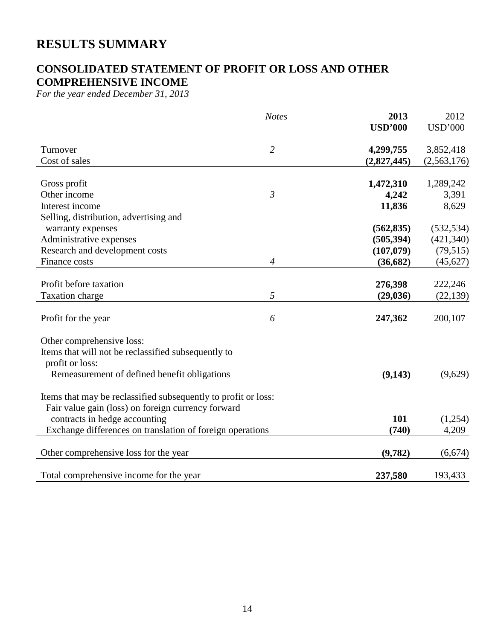# **RESULTS SUMMARY**

# **CONSOLIDATED STATEMENT OF PROFIT OR LOSS AND OTHER COMPREHENSIVE INCOME**

*For the year ended December 31, 2013* 

|                                                                | <b>Notes</b>   | 2013           | 2012           |
|----------------------------------------------------------------|----------------|----------------|----------------|
|                                                                |                | <b>USD'000</b> | <b>USD'000</b> |
| Turnover                                                       | $\overline{2}$ | 4,299,755      | 3,852,418      |
| Cost of sales                                                  |                | (2,827,445)    | (2,563,176)    |
|                                                                |                |                |                |
| Gross profit                                                   |                | 1,472,310      | 1,289,242      |
| Other income                                                   | $\mathfrak{Z}$ | 4,242          | 3,391          |
| Interest income                                                |                | 11,836         | 8,629          |
| Selling, distribution, advertising and                         |                |                |                |
| warranty expenses                                              |                | (562, 835)     | (532, 534)     |
| Administrative expenses                                        |                | (505, 394)     | (421, 340)     |
| Research and development costs                                 |                | (107,079)      | (79, 515)      |
| Finance costs                                                  | $\overline{4}$ | (36, 682)      | (45, 627)      |
|                                                                |                |                |                |
| Profit before taxation                                         |                | 276,398        | 222,246        |
| Taxation charge                                                | 5              | (29, 036)      | (22, 139)      |
|                                                                |                |                |                |
| Profit for the year                                            | 6              | 247,362        | 200,107        |
| Other comprehensive loss:                                      |                |                |                |
| Items that will not be reclassified subsequently to            |                |                |                |
| profit or loss:                                                |                |                |                |
| Remeasurement of defined benefit obligations                   |                | (9,143)        | (9,629)        |
|                                                                |                |                |                |
| Items that may be reclassified subsequently to profit or loss: |                |                |                |
| Fair value gain (loss) on foreign currency forward             |                |                |                |
| contracts in hedge accounting                                  |                | 101            | (1,254)        |
| Exchange differences on translation of foreign operations      |                | (740)          | 4,209          |
|                                                                |                |                |                |
| Other comprehensive loss for the year                          |                | (9,782)        | (6,674)        |
|                                                                |                |                |                |
| Total comprehensive income for the year                        |                | 237,580        | 193,433        |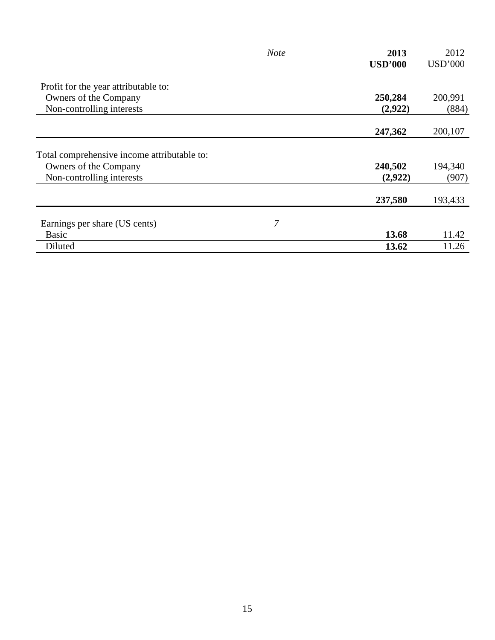|                                             | <b>Note</b> | 2013           | 2012           |
|---------------------------------------------|-------------|----------------|----------------|
|                                             |             | <b>USD'000</b> | <b>USD'000</b> |
| Profit for the year attributable to:        |             |                |                |
| Owners of the Company                       |             | 250,284        | 200,991        |
| Non-controlling interests                   |             | (2,922)        | (884)          |
|                                             |             | 247,362        | 200,107        |
| Total comprehensive income attributable to: |             |                |                |
| Owners of the Company                       |             | 240,502        | 194,340        |
| Non-controlling interests                   |             | (2,922)        | (907)          |
|                                             |             | 237,580        | 193,433        |
| Earnings per share (US cents)               | 7           |                |                |
| Basic                                       |             | 13.68          | 11.42          |
| Diluted                                     |             | 13.62          | 11.26          |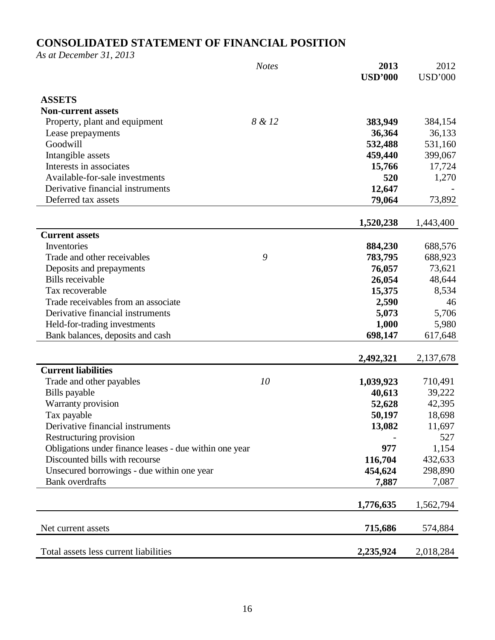# **CONSOLIDATED STATEMENT OF FINANCIAL POSITION**

*As at December 31, 2013* 

|                                                        | <b>Notes</b> | 2013<br><b>USD'000</b> | 2012<br><b>USD'000</b> |
|--------------------------------------------------------|--------------|------------------------|------------------------|
|                                                        |              |                        |                        |
| <b>ASSETS</b>                                          |              |                        |                        |
| <b>Non-current assets</b>                              |              |                        |                        |
| Property, plant and equipment                          | 8 & 12       | 383,949                | 384,154                |
| Lease prepayments                                      |              | 36,364                 | 36,133                 |
| Goodwill                                               |              | 532,488                | 531,160                |
| Intangible assets                                      |              | 459,440                | 399,067                |
| Interests in associates                                |              | 15,766                 | 17,724                 |
| Available-for-sale investments                         |              | 520                    | 1,270                  |
| Derivative financial instruments                       |              | 12,647                 |                        |
| Deferred tax assets                                    |              | 79,064                 | 73,892                 |
|                                                        |              | 1,520,238              | 1,443,400              |
| <b>Current assets</b>                                  |              |                        |                        |
| Inventories                                            |              | 884,230                | 688,576                |
| Trade and other receivables                            | 9            | 783,795                | 688,923                |
| Deposits and prepayments                               |              | 76,057                 | 73,621                 |
| <b>Bills</b> receivable                                |              | 26,054                 | 48,644                 |
| Tax recoverable                                        |              | 15,375                 | 8,534                  |
| Trade receivables from an associate                    |              | 2,590                  | 46                     |
| Derivative financial instruments                       |              | 5,073                  | 5,706                  |
| Held-for-trading investments                           |              | 1,000                  | 5,980                  |
| Bank balances, deposits and cash                       |              | 698,147                | 617,648                |
|                                                        |              |                        |                        |
|                                                        |              | 2,492,321              | 2,137,678              |
| <b>Current liabilities</b>                             |              |                        |                        |
| Trade and other payables                               | 10           | 1,039,923              | 710,491                |
| Bills payable                                          |              | 40,613                 | 39,222                 |
| Warranty provision                                     |              | 52,628                 | 42,395                 |
| Tax payable                                            |              | 50,197                 | 18,698                 |
| Derivative financial instruments                       |              | 13,082                 | 11,697                 |
| Restructuring provision                                |              |                        | 527                    |
| Obligations under finance leases - due within one year |              | 977                    | 1,154                  |
| Discounted bills with recourse                         |              | 116,704                | 432,633                |
| Unsecured borrowings - due within one year             |              | 454,624                | 298,890                |
| <b>Bank</b> overdrafts                                 |              | 7,887                  | 7,087                  |
|                                                        |              | 1,776,635              | 1,562,794              |
|                                                        |              |                        |                        |
| Net current assets                                     |              | 715,686                | 574,884                |
| Total assets less current liabilities                  |              | 2,235,924              | 2,018,284              |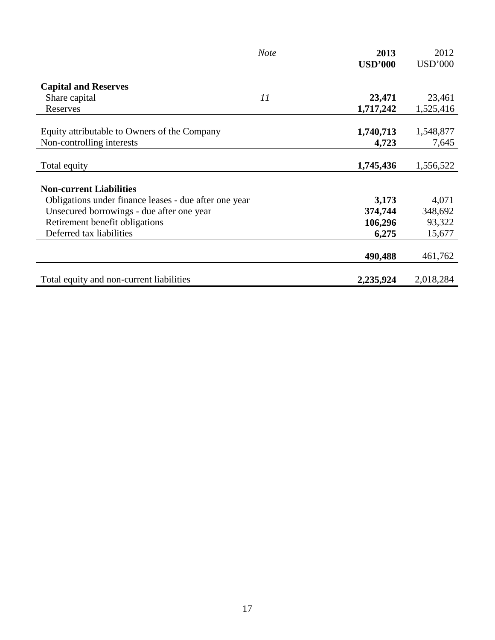|                                                       | <b>Note</b> | 2013           | 2012           |
|-------------------------------------------------------|-------------|----------------|----------------|
|                                                       |             | <b>USD'000</b> | <b>USD'000</b> |
|                                                       |             |                |                |
| <b>Capital and Reserves</b>                           |             |                |                |
| Share capital                                         | 11          | 23,471         | 23,461         |
| Reserves                                              |             | 1,717,242      | 1,525,416      |
|                                                       |             |                |                |
| Equity attributable to Owners of the Company          |             | 1,740,713      | 1,548,877      |
| Non-controlling interests                             |             | 4,723          | 7,645          |
|                                                       |             |                |                |
| Total equity                                          |             | 1,745,436      | 1,556,522      |
|                                                       |             |                |                |
| <b>Non-current Liabilities</b>                        |             |                |                |
| Obligations under finance leases - due after one year |             | 3,173          | 4,071          |
| Unsecured borrowings - due after one year             |             | 374,744        | 348,692        |
| Retirement benefit obligations                        |             | 106,296        | 93,322         |
| Deferred tax liabilities                              |             | 6,275          | 15,677         |
|                                                       |             |                |                |
|                                                       |             | 490,488        | 461,762        |
|                                                       |             |                |                |
| Total equity and non-current liabilities              |             | 2,235,924      | 2,018,284      |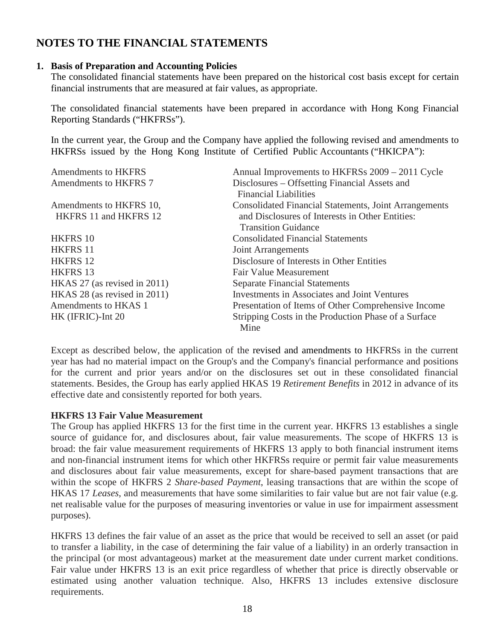# **NOTES TO THE FINANCIAL STATEMENTS**

### **1. Basis of Preparation and Accounting Policies**

The consolidated financial statements have been prepared on the historical cost basis except for certain financial instruments that are measured at fair values, as appropriate.

The consolidated financial statements have been prepared in accordance with Hong Kong Financial Reporting Standards ("HKFRSs").

In the current year, the Group and the Company have applied the following revised and amendments to HKFRSs issued by the Hong Kong Institute of Certified Public Accountants ("HKICPA"):

| <b>Amendments to HKFRS</b>   | Annual Improvements to HKFRSs 2009 - 2011 Cycle              |
|------------------------------|--------------------------------------------------------------|
| Amendments to HKFRS 7        | Disclosures – Offsetting Financial Assets and                |
|                              | <b>Financial Liabilities</b>                                 |
| Amendments to HKFRS 10,      | <b>Consolidated Financial Statements, Joint Arrangements</b> |
| HKFRS 11 and HKFRS 12        | and Disclosures of Interests in Other Entities:              |
|                              | <b>Transition Guidance</b>                                   |
| HKFRS 10                     | <b>Consolidated Financial Statements</b>                     |
| <b>HKFRS 11</b>              | Joint Arrangements                                           |
| <b>HKFRS 12</b>              | Disclosure of Interests in Other Entities                    |
| <b>HKFRS 13</b>              | Fair Value Measurement                                       |
| HKAS 27 (as revised in 2011) | <b>Separate Financial Statements</b>                         |
| HKAS 28 (as revised in 2011) | <b>Investments in Associates and Joint Ventures</b>          |
| Amendments to HKAS 1         | Presentation of Items of Other Comprehensive Income          |
| HK (IFRIC)-Int 20            | Stripping Costs in the Production Phase of a Surface         |
|                              | Mine                                                         |

Except as described below, the application of the revised and amendments to HKFRSs in the current year has had no material impact on the Group's and the Company's financial performance and positions for the current and prior years and/or on the disclosures set out in these consolidated financial statements. Besides, the Group has early applied HKAS 19 *Retirement Benefits* in 2012 in advance of its effective date and consistently reported for both years.

### **HKFRS 13 Fair Value Measurement**

The Group has applied HKFRS 13 for the first time in the current year. HKFRS 13 establishes a single source of guidance for, and disclosures about, fair value measurements. The scope of HKFRS 13 is broad: the fair value measurement requirements of HKFRS 13 apply to both financial instrument items and non-financial instrument items for which other HKFRSs require or permit fair value measurements and disclosures about fair value measurements, except for share-based payment transactions that are within the scope of HKFRS 2 *Share-based Payment*, leasing transactions that are within the scope of HKAS 17 *Leases*, and measurements that have some similarities to fair value but are not fair value (e.g. net realisable value for the purposes of measuring inventories or value in use for impairment assessment purposes).

HKFRS 13 defines the fair value of an asset as the price that would be received to sell an asset (or paid to transfer a liability, in the case of determining the fair value of a liability) in an orderly transaction in the principal (or most advantageous) market at the measurement date under current market conditions. Fair value under HKFRS 13 is an exit price regardless of whether that price is directly observable or estimated using another valuation technique. Also, HKFRS 13 includes extensive disclosure requirements.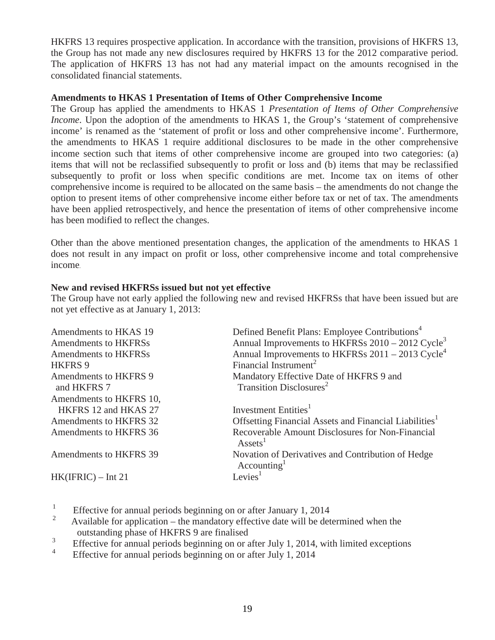HKFRS 13 requires prospective application. In accordance with the transition, provisions of HKFRS 13, the Group has not made any new disclosures required by HKFRS 13 for the 2012 comparative period. The application of HKFRS 13 has not had any material impact on the amounts recognised in the consolidated financial statements.

### **Amendments to HKAS 1 Presentation of Items of Other Comprehensive Income**

The Group has applied the amendments to HKAS 1 *Presentation of Items of Other Comprehensive Income*. Upon the adoption of the amendments to HKAS 1, the Group's 'statement of comprehensive income' is renamed as the 'statement of profit or loss and other comprehensive income'. Furthermore, the amendments to HKAS 1 require additional disclosures to be made in the other comprehensive income section such that items of other comprehensive income are grouped into two categories: (a) items that will not be reclassified subsequently to profit or loss and (b) items that may be reclassified subsequently to profit or loss when specific conditions are met. Income tax on items of other comprehensive income is required to be allocated on the same basis – the amendments do not change the option to present items of other comprehensive income either before tax or net of tax. The amendments have been applied retrospectively, and hence the presentation of items of other comprehensive income has been modified to reflect the changes.

Other than the above mentioned presentation changes, the application of the amendments to HKAS 1 does not result in any impact on profit or loss, other comprehensive income and total comprehensive income.

### **New and revised HKFRSs issued but not yet effective**

The Group have not early applied the following new and revised HKFRSs that have been issued but are not yet effective as at January 1, 2013:

| Amendments to HKAS 19   | Defined Benefit Plans: Employee Contributions <sup>4</sup>                   |
|-------------------------|------------------------------------------------------------------------------|
| Amendments to HKFRSs    | Annual Improvements to HKFRSs 2010 – 2012 Cycle <sup>3</sup>                 |
| Amendments to HKFRSs    | Annual Improvements to HKFRSs $2011 - 2013$ Cycle <sup>4</sup>               |
| HKFRS 9                 | Financial Instrument <sup>2</sup>                                            |
| Amendments to HKFRS 9   | Mandatory Effective Date of HKFRS 9 and                                      |
| and HKFRS 7             | Transition Disclosures <sup>2</sup>                                          |
| Amendments to HKFRS 10, |                                                                              |
| HKFRS 12 and HKAS 27    | Investment Entities <sup>1</sup>                                             |
| Amendments to HKFRS 32  | Offsetting Financial Assets and Financial Liabilities <sup>1</sup>           |
| Amendments to HKFRS 36  | Recoverable Amount Disclosures for Non-Financial<br>$\text{Assets}^1$        |
| Amendments to HKFRS 39  | Novation of Derivatives and Contribution of Hedge<br>Accounting <sup>1</sup> |
| $HK(IFRIC) - Int 21$    | Levies <sup>1</sup>                                                          |
|                         |                                                                              |

- Effective for annual periods beginning on or after January 1, 2014
- <sup>2</sup>Available for application the mandatory effective date will be determined when the outstanding phase of HKFRS 9 are finalised<br> $\frac{3}{2}$
- Effective for annual periods beginning on or after July 1, 2014, with limited exceptions<br> $\frac{1}{4}$
- Effective for annual periods beginning on or after July 1, 2014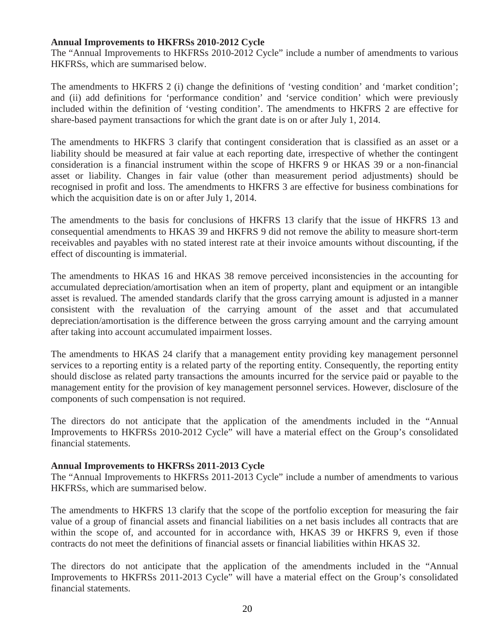### **Annual Improvements to HKFRSs 2010-2012 Cycle**

The "Annual Improvements to HKFRSs 2010-2012 Cycle" include a number of amendments to various HKFRSs, which are summarised below.

The amendments to HKFRS 2 (i) change the definitions of 'vesting condition' and 'market condition'; and (ii) add definitions for 'performance condition' and 'service condition' which were previously included within the definition of 'vesting condition'. The amendments to HKFRS 2 are effective for share-based payment transactions for which the grant date is on or after July 1, 2014.

The amendments to HKFRS 3 clarify that contingent consideration that is classified as an asset or a liability should be measured at fair value at each reporting date, irrespective of whether the contingent consideration is a financial instrument within the scope of HKFRS 9 or HKAS 39 or a non-financial asset or liability. Changes in fair value (other than measurement period adjustments) should be recognised in profit and loss. The amendments to HKFRS 3 are effective for business combinations for which the acquisition date is on or after July 1, 2014.

The amendments to the basis for conclusions of HKFRS 13 clarify that the issue of HKFRS 13 and consequential amendments to HKAS 39 and HKFRS 9 did not remove the ability to measure short-term receivables and payables with no stated interest rate at their invoice amounts without discounting, if the effect of discounting is immaterial.

The amendments to HKAS 16 and HKAS 38 remove perceived inconsistencies in the accounting for accumulated depreciation/amortisation when an item of property, plant and equipment or an intangible asset is revalued. The amended standards clarify that the gross carrying amount is adjusted in a manner consistent with the revaluation of the carrying amount of the asset and that accumulated depreciation/amortisation is the difference between the gross carrying amount and the carrying amount after taking into account accumulated impairment losses.

The amendments to HKAS 24 clarify that a management entity providing key management personnel services to a reporting entity is a related party of the reporting entity. Consequently, the reporting entity should disclose as related party transactions the amounts incurred for the service paid or payable to the management entity for the provision of key management personnel services. However, disclosure of the components of such compensation is not required.

The directors do not anticipate that the application of the amendments included in the "Annual Improvements to HKFRSs 2010-2012 Cycle" will have a material effect on the Group's consolidated financial statements.

#### **Annual Improvements to HKFRSs 2011-2013 Cycle**

The "Annual Improvements to HKFRSs 2011-2013 Cycle" include a number of amendments to various HKFRSs, which are summarised below.

The amendments to HKFRS 13 clarify that the scope of the portfolio exception for measuring the fair value of a group of financial assets and financial liabilities on a net basis includes all contracts that are within the scope of, and accounted for in accordance with, HKAS 39 or HKFRS 9, even if those contracts do not meet the definitions of financial assets or financial liabilities within HKAS 32.

The directors do not anticipate that the application of the amendments included in the "Annual Improvements to HKFRSs 2011-2013 Cycle" will have a material effect on the Group's consolidated financial statements.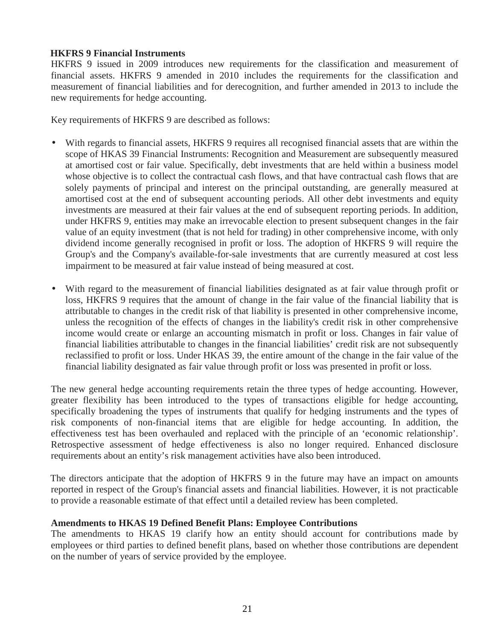### **HKFRS 9 Financial Instruments**

HKFRS 9 issued in 2009 introduces new requirements for the classification and measurement of financial assets. HKFRS 9 amended in 2010 includes the requirements for the classification and measurement of financial liabilities and for derecognition, and further amended in 2013 to include the new requirements for hedge accounting.

Key requirements of HKFRS 9 are described as follows:

- With regards to financial assets, HKFRS 9 requires all recognised financial assets that are within the scope of HKAS 39 Financial Instruments: Recognition and Measurement are subsequently measured at amortised cost or fair value. Specifically, debt investments that are held within a business model whose objective is to collect the contractual cash flows, and that have contractual cash flows that are solely payments of principal and interest on the principal outstanding, are generally measured at amortised cost at the end of subsequent accounting periods. All other debt investments and equity investments are measured at their fair values at the end of subsequent reporting periods. In addition, under HKFRS 9, entities may make an irrevocable election to present subsequent changes in the fair value of an equity investment (that is not held for trading) in other comprehensive income, with only dividend income generally recognised in profit or loss. The adoption of HKFRS 9 will require the Group's and the Company's available-for-sale investments that are currently measured at cost less impairment to be measured at fair value instead of being measured at cost.
- With regard to the measurement of financial liabilities designated as at fair value through profit or loss, HKFRS 9 requires that the amount of change in the fair value of the financial liability that is attributable to changes in the credit risk of that liability is presented in other comprehensive income, unless the recognition of the effects of changes in the liability's credit risk in other comprehensive income would create or enlarge an accounting mismatch in profit or loss. Changes in fair value of financial liabilities attributable to changes in the financial liabilities' credit risk are not subsequently reclassified to profit or loss. Under HKAS 39, the entire amount of the change in the fair value of the financial liability designated as fair value through profit or loss was presented in profit or loss.

The new general hedge accounting requirements retain the three types of hedge accounting. However, greater flexibility has been introduced to the types of transactions eligible for hedge accounting, specifically broadening the types of instruments that qualify for hedging instruments and the types of risk components of non-financial items that are eligible for hedge accounting. In addition, the effectiveness test has been overhauled and replaced with the principle of an 'economic relationship'. Retrospective assessment of hedge effectiveness is also no longer required. Enhanced disclosure requirements about an entity's risk management activities have also been introduced.

The directors anticipate that the adoption of HKFRS 9 in the future may have an impact on amounts reported in respect of the Group's financial assets and financial liabilities. However, it is not practicable to provide a reasonable estimate of that effect until a detailed review has been completed.

### **Amendments to HKAS 19 Defined Benefit Plans: Employee Contributions**

The amendments to HKAS 19 clarify how an entity should account for contributions made by employees or third parties to defined benefit plans, based on whether those contributions are dependent on the number of years of service provided by the employee.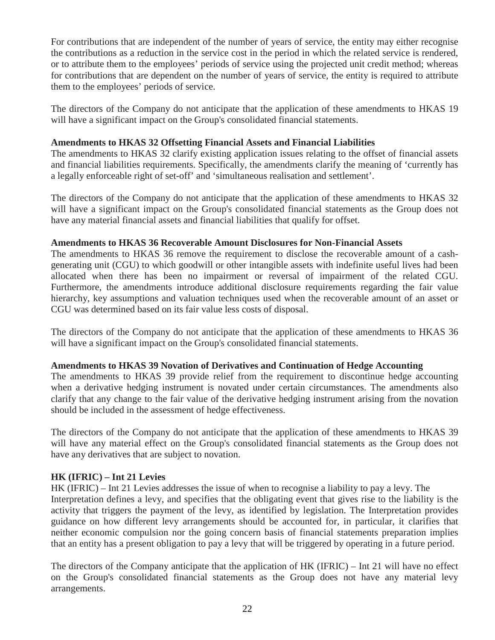For contributions that are independent of the number of years of service, the entity may either recognise the contributions as a reduction in the service cost in the period in which the related service is rendered, or to attribute them to the employees' periods of service using the projected unit credit method; whereas for contributions that are dependent on the number of years of service, the entity is required to attribute them to the employees' periods of service.

The directors of the Company do not anticipate that the application of these amendments to HKAS 19 will have a significant impact on the Group's consolidated financial statements.

### **Amendments to HKAS 32 Offsetting Financial Assets and Financial Liabilities**

The amendments to HKAS 32 clarify existing application issues relating to the offset of financial assets and financial liabilities requirements. Specifically, the amendments clarify the meaning of 'currently has a legally enforceable right of set-off' and 'simultaneous realisation and settlement'.

The directors of the Company do not anticipate that the application of these amendments to HKAS 32 will have a significant impact on the Group's consolidated financial statements as the Group does not have any material financial assets and financial liabilities that qualify for offset.

### **Amendments to HKAS 36 Recoverable Amount Disclosures for Non-Financial Assets**

The amendments to HKAS 36 remove the requirement to disclose the recoverable amount of a cashgenerating unit (CGU) to which goodwill or other intangible assets with indefinite useful lives had been allocated when there has been no impairment or reversal of impairment of the related CGU. Furthermore, the amendments introduce additional disclosure requirements regarding the fair value hierarchy, key assumptions and valuation techniques used when the recoverable amount of an asset or CGU was determined based on its fair value less costs of disposal.

The directors of the Company do not anticipate that the application of these amendments to HKAS 36 will have a significant impact on the Group's consolidated financial statements.

### **Amendments to HKAS 39 Novation of Derivatives and Continuation of Hedge Accounting**

The amendments to HKAS 39 provide relief from the requirement to discontinue hedge accounting when a derivative hedging instrument is novated under certain circumstances. The amendments also clarify that any change to the fair value of the derivative hedging instrument arising from the novation should be included in the assessment of hedge effectiveness.

The directors of the Company do not anticipate that the application of these amendments to HKAS 39 will have any material effect on the Group's consolidated financial statements as the Group does not have any derivatives that are subject to novation.

### **HK (IFRIC) – Int 21 Levies**

HK (IFRIC) – Int 21 Levies addresses the issue of when to recognise a liability to pay a levy. The Interpretation defines a levy, and specifies that the obligating event that gives rise to the liability is the activity that triggers the payment of the levy, as identified by legislation. The Interpretation provides guidance on how different levy arrangements should be accounted for, in particular, it clarifies that neither economic compulsion nor the going concern basis of financial statements preparation implies that an entity has a present obligation to pay a levy that will be triggered by operating in a future period.

The directors of the Company anticipate that the application of HK (IFRIC) – Int 21 will have no effect on the Group's consolidated financial statements as the Group does not have any material levy arrangements.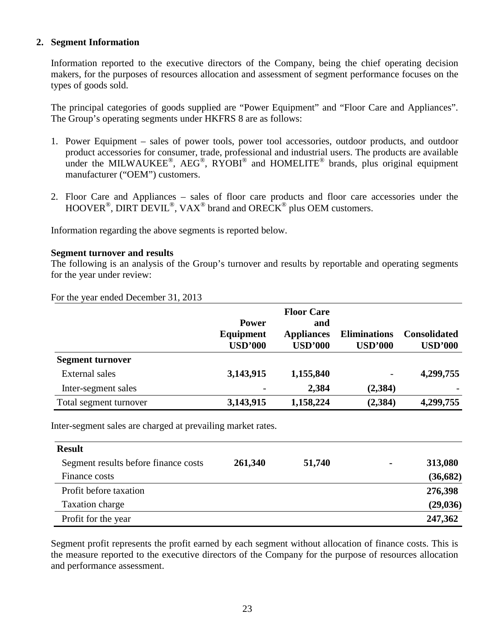### **2. Segment Information**

Information reported to the executive directors of the Company, being the chief operating decision makers, for the purposes of resources allocation and assessment of segment performance focuses on the types of goods sold.

The principal categories of goods supplied are "Power Equipment" and "Floor Care and Appliances". The Group's operating segments under HKFRS 8 are as follows:

- 1. Power Equipment sales of power tools, power tool accessories, outdoor products, and outdoor product accessories for consumer, trade, professional and industrial users. The products are available under the MILWAUKEE®, AEG®, RYOBI® and HOMELITE® brands, plus original equipment manufacturer ("OEM") customers.
- 2. Floor Care and Appliances sales of floor care products and floor care accessories under the HOOVER<sup>®</sup>, DIRT DEVIL<sup>®</sup>, VAX<sup>®</sup> brand and ORECK<sup>®</sup> plus OEM customers.

Information regarding the above segments is reported below.

### **Segment turnover and results**

The following is an analysis of the Group's turnover and results by reportable and operating segments for the year under review:

|  |  |  | For the year ended December 31, 2013 |  |  |
|--|--|--|--------------------------------------|--|--|
|--|--|--|--------------------------------------|--|--|

|                         |                | <b>Floor Care</b> |                     |                     |
|-------------------------|----------------|-------------------|---------------------|---------------------|
|                         | <b>Power</b>   | and               |                     |                     |
|                         | Equipment      | <b>Appliances</b> | <b>Eliminations</b> | <b>Consolidated</b> |
|                         | <b>USD'000</b> | <b>USD'000</b>    | <b>USD'000</b>      | <b>USD'000</b>      |
| <b>Segment turnover</b> |                |                   |                     |                     |
| External sales          | 3,143,915      | 1,155,840         | -                   | 4,299,755           |
| Inter-segment sales     |                | 2,384             | (2, 384)            |                     |
| Total segment turnover  | 3,143,915      | 1,158,224         | (2, 384)            | 4,299,755           |

Inter-segment sales are charged at prevailing market rates.

| <b>Result</b>                        |         |        |                |           |
|--------------------------------------|---------|--------|----------------|-----------|
| Segment results before finance costs | 261,340 | 51,740 | $\blacksquare$ | 313,080   |
| Finance costs                        |         |        |                | (36, 682) |
| Profit before taxation               |         |        |                | 276,398   |
| Taxation charge                      |         |        |                | (29, 036) |
| Profit for the year                  |         |        |                | 247,362   |

Segment profit represents the profit earned by each segment without allocation of finance costs. This is the measure reported to the executive directors of the Company for the purpose of resources allocation and performance assessment.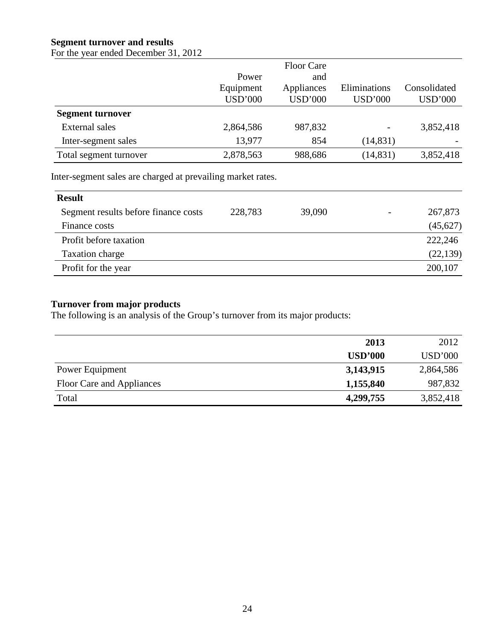## **Segment turnover and results**

For the year ended December 31, 2012

|                         |                | <b>Floor Care</b> |                |                |
|-------------------------|----------------|-------------------|----------------|----------------|
|                         | Power          | and               |                |                |
|                         | Equipment      | Appliances        | Eliminations   | Consolidated   |
|                         | <b>USD'000</b> | <b>USD'000</b>    | <b>USD'000</b> | <b>USD'000</b> |
| <b>Segment turnover</b> |                |                   |                |                |
| <b>External sales</b>   | 2,864,586      | 987,832           |                | 3,852,418      |
| Inter-segment sales     | 13,977         | 854               | (14, 831)      |                |
| Total segment turnover  | 2,878,563      | 988,686           | (14, 831)      | 3,852,418      |

Inter-segment sales are charged at prevailing market rates.

| <b>Result</b>                        |         |        |                          |           |
|--------------------------------------|---------|--------|--------------------------|-----------|
| Segment results before finance costs | 228,783 | 39,090 | $\overline{\phantom{0}}$ | 267,873   |
| Finance costs                        |         |        |                          | (45, 627) |
| Profit before taxation               |         |        |                          | 222,246   |
| Taxation charge                      |         |        |                          | (22, 139) |
| Profit for the year                  |         |        |                          | 200,107   |

## **Turnover from major products**

The following is an analysis of the Group's turnover from its major products:

|                           | 2013           | 2012           |
|---------------------------|----------------|----------------|
|                           | <b>USD'000</b> | <b>USD'000</b> |
| Power Equipment           | 3,143,915      | 2,864,586      |
| Floor Care and Appliances | 1,155,840      | 987,832        |
| Total                     | 4,299,755      | 3,852,418      |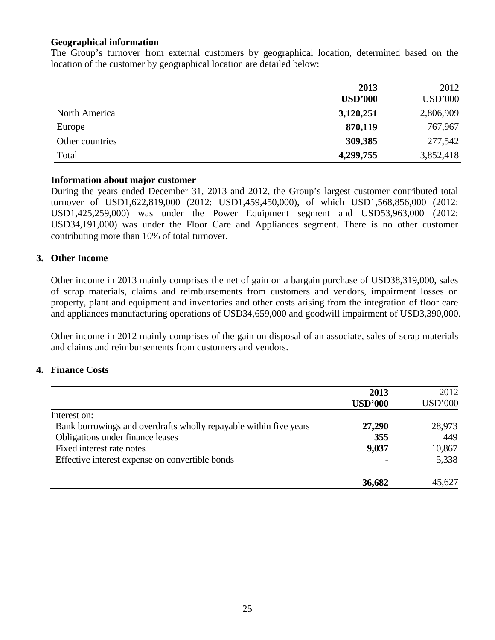### **Geographical information**

The Group's turnover from external customers by geographical location, determined based on the location of the customer by geographical location are detailed below:

|                 | 2013<br><b>USD'000</b> | 2012<br><b>USD'000</b> |
|-----------------|------------------------|------------------------|
| North America   | 3,120,251              | 2,806,909              |
| Europe          | 870,119                | 767,967                |
| Other countries | 309,385                | 277,542                |
| Total           | 4,299,755              | 3,852,418              |

### **Information about major customer**

During the years ended December 31, 2013 and 2012, the Group's largest customer contributed total turnover of USD1,622,819,000 (2012: USD1,459,450,000), of which USD1,568,856,000 (2012: USD1,425,259,000) was under the Power Equipment segment and USD53,963,000 (2012: USD34,191,000) was under the Floor Care and Appliances segment. There is no other customer contributing more than 10% of total turnover.

### **3. Other Income**

Other income in 2013 mainly comprises the net of gain on a bargain purchase of USD38,319,000, sales of scrap materials, claims and reimbursements from customers and vendors, impairment losses on property, plant and equipment and inventories and other costs arising from the integration of floor care and appliances manufacturing operations of USD34,659,000 and goodwill impairment of USD3,390,000.

Other income in 2012 mainly comprises of the gain on disposal of an associate, sales of scrap materials and claims and reimbursements from customers and vendors.

#### **4. Finance Costs**

|                                                                   | 2013           | 2012           |
|-------------------------------------------------------------------|----------------|----------------|
|                                                                   | <b>USD'000</b> | <b>USD'000</b> |
| Interest on:                                                      |                |                |
| Bank borrowings and overdrafts wholly repayable within five years | 27,290         | 28,973         |
| Obligations under finance leases                                  | 355            | 449            |
| Fixed interest rate notes                                         | 9,037          | 10,867         |
| Effective interest expense on convertible bonds                   |                |                |
|                                                                   | 36,682         | 45,627         |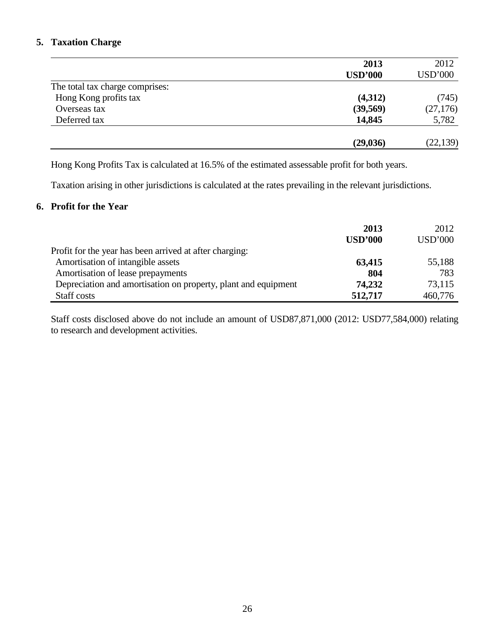## **5. Taxation Charge**

|                                 | 2013           | 2012           |
|---------------------------------|----------------|----------------|
|                                 | <b>USD'000</b> | <b>USD'000</b> |
| The total tax charge comprises: |                |                |
| Hong Kong profits tax           | (4,312)        | (745)          |
| Overseas tax                    | (39, 569)      | (27, 176)      |
| Deferred tax                    | 14,845         | 5,782          |
|                                 | (29, 036)      | (22, 139)      |

Hong Kong Profits Tax is calculated at 16.5% of the estimated assessable profit for both years.

Taxation arising in other jurisdictions is calculated at the rates prevailing in the relevant jurisdictions.

### **6. Profit for the Year**

|                                                                | 2013           | 2012           |
|----------------------------------------------------------------|----------------|----------------|
|                                                                | <b>USD'000</b> | <b>USD'000</b> |
| Profit for the year has been arrived at after charging:        |                |                |
| Amortisation of intangible assets                              | 63,415         | 55,188         |
| Amortisation of lease prepayments                              | 804            | 783            |
| Depreciation and amortisation on property, plant and equipment | 74,232         | 73,115         |
| Staff costs                                                    | 512,717        | 460,776        |

Staff costs disclosed above do not include an amount of USD87,871,000 (2012: USD77,584,000) relating to research and development activities.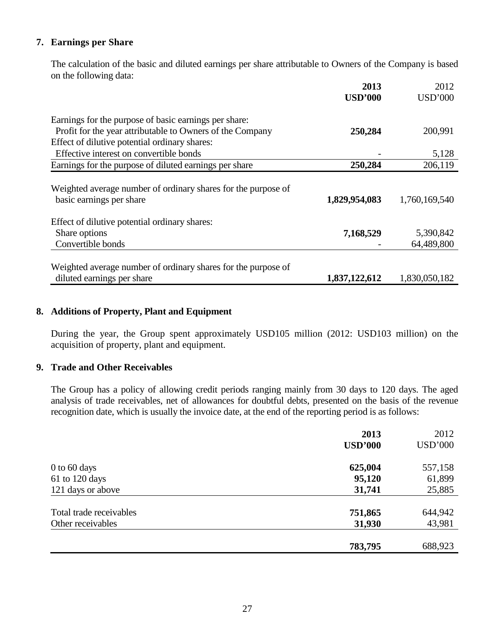## **7. Earnings per Share**

 The calculation of the basic and diluted earnings per share attributable to Owners of the Company is based on the following data:

|                                                                                           | 2013           | 2012           |
|-------------------------------------------------------------------------------------------|----------------|----------------|
|                                                                                           | <b>USD'000</b> | <b>USD'000</b> |
| Earnings for the purpose of basic earnings per share:                                     |                |                |
| Profit for the year attributable to Owners of the Company                                 | 250,284        | 200,991        |
| Effect of dilutive potential ordinary shares:                                             |                |                |
| Effective interest on convertible bonds                                                   |                | 5,128          |
| Earnings for the purpose of diluted earnings per share                                    | 250,284        | 206,119        |
| Weighted average number of ordinary shares for the purpose of<br>basic earnings per share | 1,829,954,083  | 1,760,169,540  |
| Effect of dilutive potential ordinary shares:                                             |                |                |
| Share options                                                                             | 7,168,529      | 5,390,842      |
| Convertible bonds                                                                         |                | 64,489,800     |
| Weighted average number of ordinary shares for the purpose of                             |                |                |
| diluted earnings per share                                                                | 1,837,122,612  | 1,830,050,182  |

### **8. Additions of Property, Plant and Equipment**

 During the year, the Group spent approximately USD105 million (2012: USD103 million) on the acquisition of property, plant and equipment.

### **9. Trade and Other Receivables**

The Group has a policy of allowing credit periods ranging mainly from 30 days to 120 days. The aged analysis of trade receivables, net of allowances for doubtful debts, presented on the basis of the revenue recognition date, which is usually the invoice date, at the end of the reporting period is as follows:

|                         | 2013           | 2012           |
|-------------------------|----------------|----------------|
|                         | <b>USD'000</b> | <b>USD'000</b> |
| $0$ to 60 days          | 625,004        | 557,158        |
| 61 to 120 days          | 95,120         | 61,899         |
| 121 days or above       | 31,741         | 25,885         |
| Total trade receivables | 751,865        | 644,942        |
| Other receivables       | 31,930         | 43,981         |
|                         | 783,795        | 688,923        |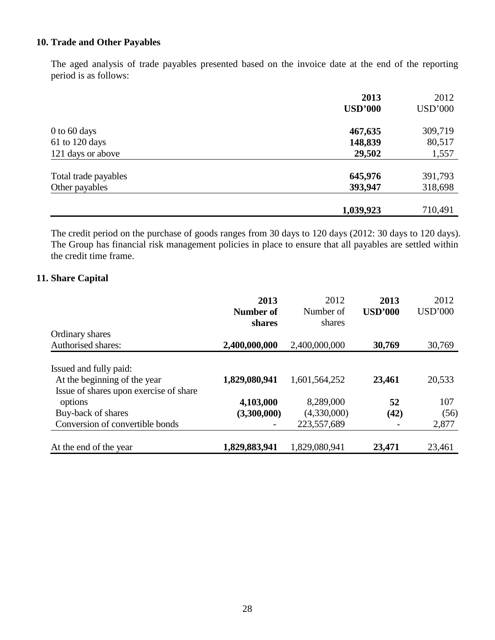## **10. Trade and Other Payables**

The aged analysis of trade payables presented based on the invoice date at the end of the reporting period is as follows:

|                      | 2013           | 2012           |
|----------------------|----------------|----------------|
|                      | <b>USD'000</b> | <b>USD'000</b> |
| $0$ to 60 days       | 467,635        | 309,719        |
| 61 to 120 days       | 148,839        | 80,517         |
| 121 days or above    | 29,502         | 1,557          |
| Total trade payables | 645,976        | 391,793        |
| Other payables       | 393,947        | 318,698        |
|                      | 1,039,923      | 710,491        |

The credit period on the purchase of goods ranges from 30 days to 120 days (2012: 30 days to 120 days). The Group has financial risk management policies in place to ensure that all payables are settled within the credit time frame.

### **11. Share Capital**

|                                                                                                  | 2013<br>Number of<br>shares | 2012<br>Number of<br>shares | 2013<br><b>USD'000</b> | 2012<br><b>USD'000</b> |
|--------------------------------------------------------------------------------------------------|-----------------------------|-----------------------------|------------------------|------------------------|
| Ordinary shares                                                                                  |                             |                             |                        |                        |
| Authorised shares:                                                                               | 2,400,000,000               | 2,400,000,000               | 30,769                 | 30,769                 |
| Issued and fully paid:<br>At the beginning of the year<br>Issue of shares upon exercise of share | 1,829,080,941               | 1,601,564,252               | 23,461                 | 20,533                 |
| options                                                                                          | 4,103,000                   | 8,289,000                   | 52                     | 107                    |
| Buy-back of shares                                                                               | (3,300,000)                 | (4,330,000)                 | (42)                   | (56)                   |
| Conversion of convertible bonds                                                                  |                             | 223,557,689                 |                        | 2,877                  |
| At the end of the year                                                                           | 1,829,883,941               | 1,829,080,941               | 23,471                 | 23,461                 |